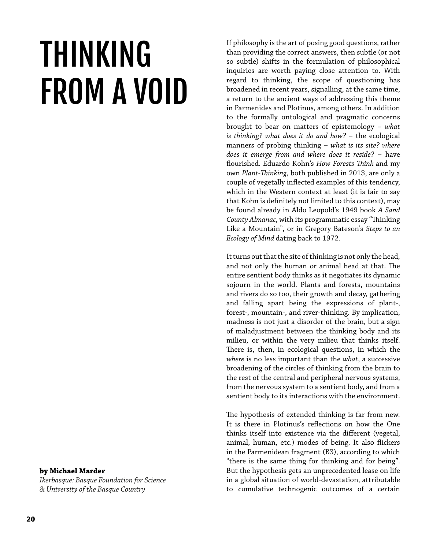# THINKING FROM A VOID

#### **by Michael Marder**

*Ikerbasque: Basque Foundation for Science & University of the Basque Country*

If philosophy is the art of posing good questions, rather than providing the correct answers, then subtle (or not so subtle) shifts in the formulation of philosophical inquiries are worth paying close attention to. With regard to thinking, the scope of questioning has broadened in recent years, signalling, at the same time, a return to the ancient ways of addressing this theme in Parmenides and Plotinus, among others. In addition to the formally ontological and pragmatic concerns brought to bear on matters of epistemology – *what is thinking? what does it do and how?* – the ecological manners of probing thinking – *what is its site? where does it emerge from and where does it reside?* – have flourished. Eduardo Kohn's *How Forests Think* and my own *Plant-Thinking*, both published in 2013, are only a couple of vegetally inflected examples of this tendency, which in the Western context at least (it is fair to say that Kohn is definitely not limited to this context), may be found already in Aldo Leopold's 1949 book *A Sand County Almanac*, with its programmatic essay "Thinking Like a Mountain", or in Gregory Bateson's *Steps to an Ecology of Mind* dating back to 1972.

It turns out that the site of thinking is not only the head, and not only the human or animal head at that. The entire sentient body thinks as it negotiates its dynamic sojourn in the world. Plants and forests, mountains and rivers do so too, their growth and decay, gathering and falling apart being the expressions of plant-, forest-, mountain-, and river-thinking. By implication, madness is not just a disorder of the brain, but a sign of maladjustment between the thinking body and its milieu, or within the very milieu that thinks itself. There is, then, in ecological questions, in which the *where* is no less important than the *what*, a successive broadening of the circles of thinking from the brain to the rest of the central and peripheral nervous systems, from the nervous system to a sentient body, and from a sentient body to its interactions with the environment.

The hypothesis of extended thinking is far from new. It is there in Plotinus's reflections on how the One thinks itself into existence via the different (vegetal, animal, human, etc.) modes of being. It also flickers in the Parmenidean fragment (B3), according to which "there is the same thing for thinking and for being". But the hypothesis gets an unprecedented lease on life in a global situation of world-devastation, attributable to cumulative technogenic outcomes of a certain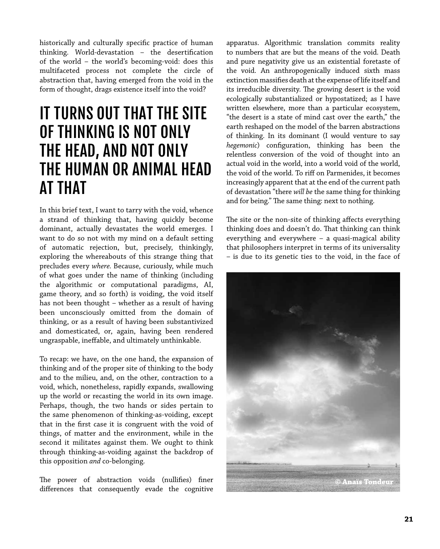historically and culturally specific practice of human thinking. World-devastation – the desertification of the world – the world's becoming-void: does this multifaceted process not complete the circle of abstraction that, having emerged from the void in the form of thought, drags existence itself into the void?

### IT TURNS OUT THAT THE SITE OF THINKING IS NOT ONLY THE HEAD, AND NOT ONLY THE HUMAN OR ANIMAL HEAD AT THAT

In this brief text, I want to tarry with the void, whence a strand of thinking that, having quickly become dominant, actually devastates the world emerges. I want to do so not with my mind on a default setting of automatic rejection, but, precisely, thinkingly, exploring the whereabouts of this strange thing that precludes every *where.* Because, curiously, while much of what goes under the name of thinking (including the algorithmic or computational paradigms, AI, game theory, and so forth) is voiding, the void itself has not been thought – whether as a result of having been unconsciously omitted from the domain of thinking, or as a result of having been substantivized and domesticated, or, again, having been rendered ungraspable, ineffable, and ultimately unthinkable.

To recap: we have, on the one hand, the expansion of thinking and of the proper site of thinking to the body and to the milieu, and, on the other, contraction to a void, which, nonetheless, rapidly expands, swallowing up the world or recasting the world in its own image. Perhaps, though, the two hands or sides pertain to the same phenomenon of thinking-as-voiding, except that in the first case it is congruent with the void of things, of matter and the environment, while in the second it militates against them. We ought to think through thinking-as-voiding against the backdrop of this opposition *and* co-belonging.

The power of abstraction voids (nullifies) finer differences that consequently evade the cognitive apparatus. Algorithmic translation commits reality to numbers that are but the means of the void. Death and pure negativity give us an existential foretaste of the void. An anthropogenically induced sixth mass extinction massifies death at the expense of life itself and its irreducible diversity. The growing desert is the void ecologically substantialized or hypostatized; as I have written elsewhere, more than a particular ecosystem, "the desert is a state of mind cast over the earth," the earth reshaped on the model of the barren abstractions of thinking. In its dominant (I would venture to say *hegemonic*) configuration, thinking has been the relentless conversion of the void of thought into an actual void in the world, into a world void of the world, the void of the world. To riff on Parmenides, it becomes increasingly apparent that at the end of the current path of devastation "there *will be* the same thing for thinking and for being." The same thing: next to nothing.

The site or the non-site of thinking affects everything thinking does and doesn't do. That thinking can think everything and everywhere – a quasi-magical ability that philosophers interpret in terms of its universality – is due to its genetic ties to the void, in the face of

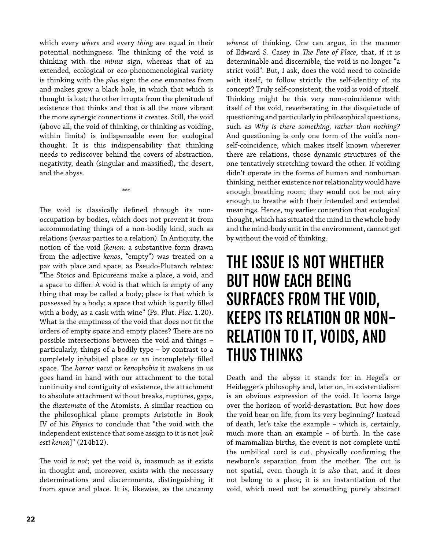which every *where* and every *thing* are equal in their potential nothingness. The thinking of the void is thinking with the *minus* sign, whereas that of an extended, ecological or eco-phenomenological variety is thinking with the *plus* sign: the one emanates from and makes grow a black hole, in which that which is thought is lost; the other irrupts from the plenitude of existence that thinks and that is all the more vibrant the more synergic connections it creates. Still, the void (above all, the void of thinking, or thinking as voiding, within limits) is indispensable even for ecological thought. It is this indispensability that thinking needs to rediscover behind the covers of abstraction, negativity, death (singular and massified), the desert, and the abyss.

\*\*\*

The void is classically defined through its nonoccupation by bodies, which does not prevent it from accommodating things of a non-bodily kind, such as relations (*versus* parties to a relation). In Antiquity, the notion of the void (*kenon:* a substantive form drawn from the adjective *kenos*, "empty") was treated on a par with place and space, as Pseudo-Plutarch relates: "The Stoics and Epicureans make a place, a void, and a space to differ. A void is that which is empty of any thing that may be called a body; place is that which is possessed by a body; a space that which is partly filled with a body, as a cask with wine" (Ps. Plut. *Plac.* 1.20). What is the emptiness of the void that does not fit the orders of empty space and empty places? There are no possible intersections between the void and things – particularly, things of a bodily type – by contrast to a completely inhabited place or an incompletely filled space. The *horror vacui* or *kenophobia* it awakens in us goes hand in hand with our attachment to the total continuity and contiguity of existence, the attachment to absolute attachment without breaks, ruptures, gaps, the *diastemata* of the Atomists. A similar reaction on the philosophical plane prompts Aristotle in Book IV of his *Physics* to conclude that "the void with the independent existence that some assign to it is not [*ouk esti kenon*]" (214b12).

The void *is not*; yet the void *is*, inasmuch as it exists in thought and, moreover, exists with the necessary determinations and discernments, distinguishing it from space and place. It is, likewise, as the uncanny *whence* of thinking. One can argue, in the manner of Edward S. Casey in *The Fate of Place*, that, if it is determinable and discernible, the void is no longer "a strict void". But, I ask, does the void need to coincide with itself, to follow strictly the self-identity of its concept? Truly self-consistent, the void is void of itself. Thinking might be this very non-coincidence with itself of the void, reverberating in the disquietude of questioning and particularly in philosophical questions, such as *Why is there something, rather than nothing?* And questioning is only one form of the void's nonself-coincidence, which makes itself known wherever there are relations, those dynamic structures of the one tentatively stretching toward the other. If voiding didn't operate in the forms of human and nonhuman thinking, neither existence nor relationality would have enough breathing room; they would not be not airy enough to breathe with their intended and extended meanings. Hence, my earlier contention that ecological thought, which has situated the mind in the whole body and the mind-body unit in the environment, cannot get by without the void of thinking.

# THE ISSUE IS NOT WHETHER BUT HOW EACH BEING SURFACES FROM THE VOID, KEEPS ITS RELATION OR NON-RELATION TO IT, VOIDS, AND THUS THINKS

Death and the abyss it stands for in Hegel's or Heidegger's philosophy and, later on, in existentialism is an obvious expression of the void. It looms large over the horizon of world-devastation. But how does the void bear on life, from its very beginning? Instead of death, let's take the example – which is, certainly, much more than an example – of birth. In the case of mammalian births, the event is not complete until the umbilical cord is cut, physically confirming the newborn's separation from the mother. The cut is not spatial, even though it is *also* that, and it does not belong to a place; it is an instantiation of the void, which need not be something purely abstract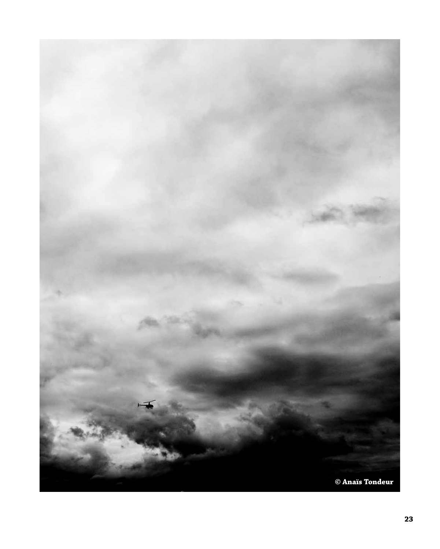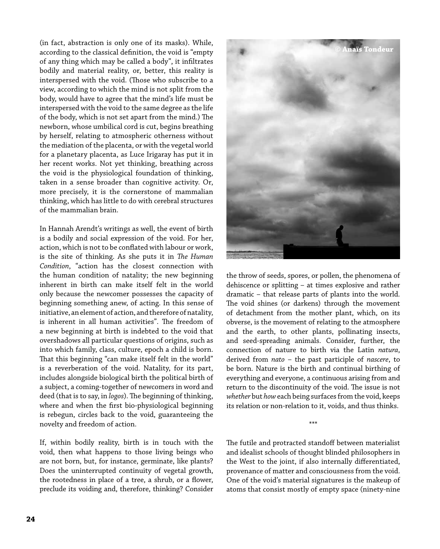(in fact, abstraction is only one of its masks). While, according to the classical definition, the void is "empty of any thing which may be called a body", it infiltrates bodily and material reality, or, better, this reality is interspersed with the void. (Those who subscribe to a view, according to which the mind is not split from the body, would have to agree that the mind's life must be interspersed with the void to the same degree as the life of the body, which is not set apart from the mind.) The newborn, whose umbilical cord is cut, begins breathing by herself, relating to atmospheric otherness without the mediation of the placenta, or with the vegetal world for a planetary placenta, as Luce Irigaray has put it in her recent works. Not yet thinking, breathing across the void is the physiological foundation of thinking, taken in a sense broader than cognitive activity. Or, more precisely, it is the cornerstone of mammalian thinking, which has little to do with cerebral structures of the mammalian brain.

In Hannah Arendt's writings as well, the event of birth is a bodily and social expression of the void. For her, action, which is not to be conflated with labour or work, is the site of thinking. As she puts it in *The Human Condition*, "action has the closest connection with the human condition of natality; the new beginning inherent in birth can make itself felt in the world only because the newcomer possesses the capacity of beginning something anew, of acting. In this sense of initiative, an element of action, and therefore of natality, is inherent in all human activities". The freedom of a new beginning at birth is indebted to the void that overshadows all particular questions of origins, such as into which family, class, culture, epoch a child is born. That this beginning "can make itself felt in the world" is a reverberation of the void. Natality, for its part, includes alongside biological birth the political birth of a subject, a coming-together of newcomers in word and deed (that is to say, in *logos*). The beginning of thinking, where and when the first bio-physiological beginning is rebegun, circles back to the void, guaranteeing the novelty and freedom of action.

If, within bodily reality, birth is in touch with the void, then what happens to those living beings who are not born, but, for instance, germinate, like plants? Does the uninterrupted continuity of vegetal growth, the rootedness in place of a tree, a shrub, or a flower, preclude its voiding and, therefore, thinking? Consider



the throw of seeds, spores, or pollen, the phenomena of dehiscence or splitting – at times explosive and rather dramatic – that release parts of plants into the world. The void shines (or darkens) through the movement of detachment from the mother plant, which, on its obverse, is the movement of relating to the atmosphere and the earth, to other plants, pollinating insects, and seed-spreading animals. Consider, further, the connection of nature to birth via the Latin *natura*, derived from *nato* – the past participle of *nascere*, to be born. Nature is the birth and continual birthing of everything and everyone, a continuous arising from and return to the discontinuity of the void. The issue is not *whether* but *how* each being surfaces from the void, keeps its relation or non-relation to it, voids, and thus thinks.

\*\*\*

The futile and protracted standoff between materialist and idealist schools of thought blinded philosophers in the West to the joint, if also internally differentiated, provenance of matter and consciousness from the void. One of the void's material signatures is the makeup of atoms that consist mostly of empty space (ninety-nine